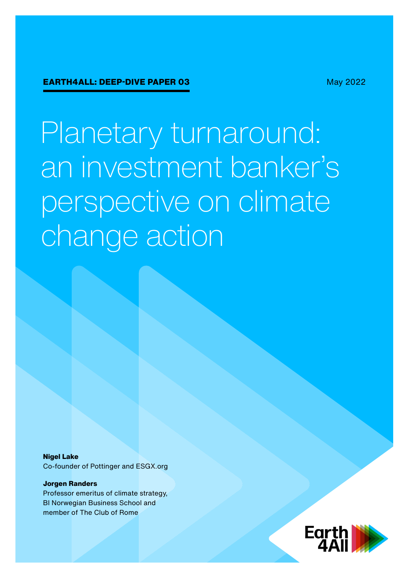May 2022

Planetary turnaround: an investment banker's perspective on climate change action

**Nigel Lake**

Co-founder of Pottinger and ESGX.org

#### **Jorgen Randers**

Professor emeritus of climate strategy, BI Norwegian Business School and member of The Club of Rome

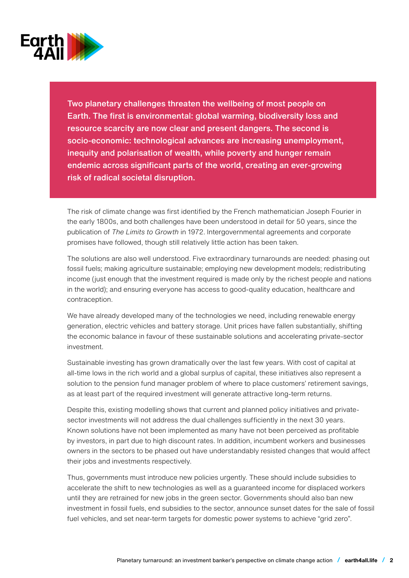

Two planetary challenges threaten the wellbeing of most people on Earth. The first is environmental: global warming, biodiversity loss and resource scarcity are now clear and present dangers. The second is socio-economic: technological advances are increasing unemployment, inequity and polarisation of wealth, while poverty and hunger remain endemic across significant parts of the world, creating an ever-growing risk of radical societal disruption.

The risk of climate change was first identified by the French mathematician Joseph Fourier in the early 1800s, and both challenges have been understood in detail for 50 years, since the publication of *The Limits to Growth* in 1972. Intergovernmental agreements and corporate promises have followed, though still relatively little action has been taken.

The solutions are also well understood. Five extraordinary turnarounds are needed: phasing out fossil fuels; making agriculture sustainable; employing new development models; redistributing income (just enough that the investment required is made only by the richest people and nations in the world); and ensuring everyone has access to good-quality education, healthcare and contraception.

We have already developed many of the technologies we need, including renewable energy generation, electric vehicles and battery storage. Unit prices have fallen substantially, shifting the economic balance in favour of these sustainable solutions and accelerating private-sector investment.

Sustainable investing has grown dramatically over the last few years. With cost of capital at all-time lows in the rich world and a global surplus of capital, these initiatives also represent a solution to the pension fund manager problem of where to place customers' retirement savings, as at least part of the required investment will generate attractive long-term returns.

Despite this, existing modelling shows that current and planned policy initiatives and privatesector investments will not address the dual challenges sufficiently in the next 30 years. Known solutions have not been implemented as many have not been perceived as profitable by investors, in part due to high discount rates. In addition, incumbent workers and businesses owners in the sectors to be phased out have understandably resisted changes that would affect their jobs and investments respectively.

Thus, governments must introduce new policies urgently. These should include subsidies to accelerate the shift to new technologies as well as a guaranteed income for displaced workers until they are retrained for new jobs in the green sector. Governments should also ban new investment in fossil fuels, end subsidies to the sector, announce sunset dates for the sale of fossil fuel vehicles, and set near-term targets for domestic power systems to achieve "grid zero".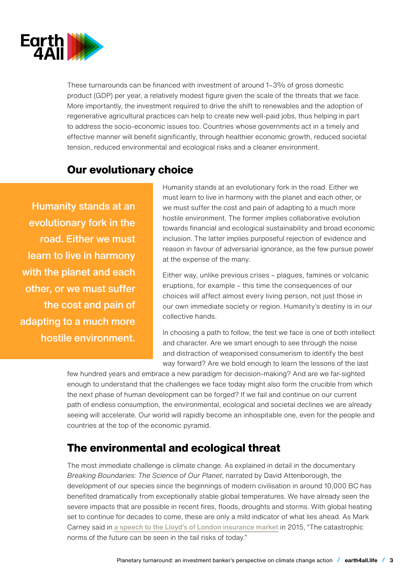

These turnarounds can be financed with investment of around 1–3% of gross domestic product (GDP) per year, a relatively modest figure given the scale of the threats that we face. More importantly, the investment required to drive the shift to renewables and the adoption of regenerative agricultural practices can help to create new well-paid jobs, thus helping in part to address the socio-economic issues too. Countries whose governments act in a timely and effective manner will benefit significantly, through healthier economic growth, reduced societal tension, reduced environmental and ecological risks and a cleaner environment.

## **Our evolutionary choice**

Humanity stands at an evolutionary fork in the road. Either we must learn to live in harmony with the planet and each other, or we must suffer the cost and pain of adapting to a much more hostile environment. Humanity stands at an evolutionary fork in the road. Either we must learn to live in harmony with the planet and each other, or we must suffer the cost and pain of adapting to a much more hostile environment. The former implies collaborative evolution towards financial and ecological sustainability and broad economic inclusion. The latter implies purposeful rejection of evidence and reason in favour of adversarial ignorance, as the few pursue power at the expense of the many.

Either way, unlike previous crises – plagues, famines or volcanic eruptions, for example – this time the consequences of our choices will affect almost every living person, not just those in our own immediate society or region. Humanity's destiny is in our collective hands.

In choosing a path to follow, the test we face is one of both intellect and character. Are we smart enough to see through the noise and distraction of weaponised consumerism to identify the best way forward? Are we bold enough to learn the lessons of the last

few hundred years and embrace a new paradigm for decision-making? And are we far-sighted enough to understand that the challenges we face today might also form the crucible from which the next phase of human development can be forged? If we fail and continue on our current path of endless consumption, the environmental, ecological and societal declines we are already seeing will accelerate. Our world will rapidly become an inhospitable one, even for the people and countries at the top of the economic pyramid.

# **The environmental and ecological threat**

The most immediate challenge is climate change. As explained in detail in the documentary *Breaking Boundaries: The Science of Our Planet*, narrated by David Attenborough, the development of our species since the beginnings of modern civilisation in around 10,000 BC has benefited dramatically from exceptionally stable global temperatures. We have already seen the severe impacts that are possible in recent fires, floods, droughts and storms. With global heating set to continue for decades to come, these are only a mild indicator of what lies ahead. As Mark Carney said in [a speech to the Lloyd's of London insurance market](http://a speech to the Lloyd’s of London insurance market) in 2015, "The catastrophic norms of the future can be seen in the tail risks of today."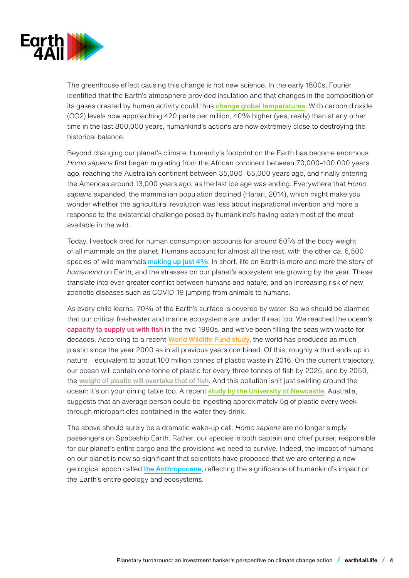

The greenhouse effect causing this change is not new science. In the early 1800s, Fourier identified that the Earth's atmosphere provided insulation and that changes in the composition of its gases created by human activity could thus [change global temperatures](https://blogs.scientificamerican.com/plugged-in/why-we-know-about-the-greenhouse-gas-effect/). With carbon dioxide (CO2) levels now approaching 420 parts per million, 40% higher (yes, really) than at any other time in the last 800,000 years, humankind's actions are now extremely close to destroying the historical balance.

Beyond changing our planet's climate, humanity's footprint on the Earth has become enormous. *Homo sapiens* first began migrating from the African continent between 70,000–100,000 years ago, reaching the Australian continent between 35,000–65,000 years ago, and finally entering the Americas around 13,000 years ago, as the last ice age was ending. Everywhere that *Homo sapiens* expanded, the mammalian population declined (Harari, 2014), which might make you wonder whether the agricultural revolution was less about inspirational invention and more a response to the existential challenge posed by humankind's having eaten most of the meat available in the wild.

Today, livestock bred for human consumption accounts for around 60% of the body weight of all mammals on the planet. Humans account for almost all the rest, with the other *ca*. 6,500 species of wild mammals [making up just 4%](https://www.pnas.org/doi/10.1073/pnas.1711842115). In short, life on Earth is more and more the story of *humankind* on Earth, and the stresses on our planet's ecosystem are growing by the year. These translate into ever-greater conflict between humans and nature, and an increasing risk of new zoonotic diseases such as COVID-19 jumping from animals to humans.

As every child learns, 70% of the Earth's surface is covered by water. So we should be alarmed that our critical freshwater and marine ecosystems are under threat too. We reached the ocean's [capacity to supply us with fish](https://ourworldindata.org/fish-and-overfishing) in the mid-1990s, and we've been filling the seas with waste for decades. According to a recent [World Wildlife Fund study](https://awsassets.panda.org/downloads/plastic_ingestion_press_singles.pdf), the world has produced as much plastic since the year 2000 as in all previous years combined. Of this, roughly a third ends up in nature – equivalent to about 100 million tonnes of plastic waste in 2016. On the current trajectory, our ocean will contain one tonne of plastic for every three tonnes of fish by 2025, and by 2050, the [weight of plastic will overtake that of fish](https://ellenmacarthurfoundation.org/topics/plastics/projects). And this pollution isn't just swirling around the ocean: it's on your dining table too. A recent [study by the University of Newcastle](https://www.newcastle.edu.au/newsroom/featured/plastic-ingestion-by-people-could-be-equating-to-a-credit-card-a-week), Australia, suggests that an average person could be ingesting approximately 5g of plastic every week through microparticles contained in the water they drink.

The above should surely be a dramatic wake-up call. *Homo sapiens* are no longer simply passengers on Spaceship Earth. Rather, our species is both captain and chief purser, responsible for our planet's entire cargo and the provisions we need to survive. Indeed, the impact of humans on our planet is now so significant that scientists have proposed that we are entering a new geological epoch called [the Anthropocene](http://quaternary.stratigraphy.org/working-groups/anthropocene/), reflecting the significance of humankind's impact on the Earth's entire geology and ecosystems.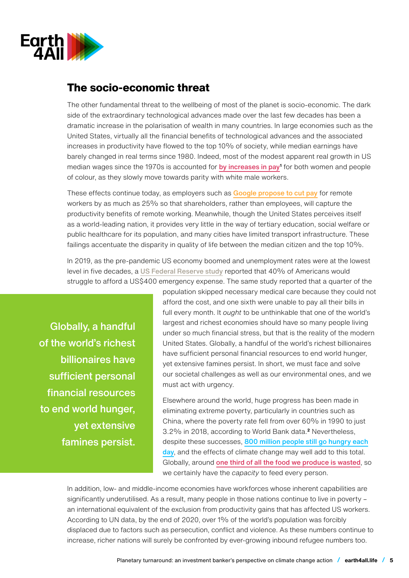

## **The socio-economic threat**

The other fundamental threat to the wellbeing of most of the planet is socio-economic. The dark side of the extraordinary technological advances made over the last few decades has been a dramatic increase in the polarisation of wealth in many countries. In large economies such as the United States, virtually all the financial benefits of technological advances and the associated increases in productivity have flowed to the top 10% of society, while median earnings have barely changed in real terms since 1980. Indeed, most of the modest apparent real growth in US median wages since the 1970s is accounted for [by increases in pay](https://www.census.gov/data/tables/time-series/demo/income-poverty/historical-income-people.html)**<sup>1</sup>** for both women and people of colour, as they slowly move towards parity with white male workers.

These effects continue today, as employers such as [Google propose to cut pay](https://www.reuters.com/world/the-great-reboot/pay-cut-google-employees-who-work-home-could-lose-money-2021-08-10/) for remote workers by as much as 25% so that shareholders, rather than employees, will capture the productivity benefits of remote working. Meanwhile, though the United States perceives itself as a world-leading nation, it provides very little in the way of tertiary education, social welfare or public healthcare for its population, and many cities have limited transport infrastructure. These failings accentuate the disparity in quality of life between the median citizen and the top 10%.

In 2019, as the pre-pandemic US economy boomed and unemployment rates were at the lowest level in five decades, a [US Federal Reserve study](https://www.federalreserve.gov/publications/2019-economic-well-being-of-us-households-in-2018-dealing-with-unexpected-expenses.htm) reported that 40% of Americans would struggle to afford a US\$400 emergency expense. The same study reported that a quarter of the

Globally, a handful of the world's richest billionaires have sufficient personal financial resources to end world hunger, yet extensive famines persist. population skipped necessary medical care because they could not afford the cost, and one sixth were unable to pay all their bills in full every month. It *ought* to be unthinkable that one of the world's largest and richest economies should have so many people living under so much financial stress, but that is the reality of the modern United States. Globally, a handful of the world's richest billionaires have sufficient personal financial resources to end world hunger, yet extensive famines persist. In short, we must face and solve our societal challenges as well as our environmental ones, and we must act with urgency.

Elsewhere around the world, huge progress has been made in eliminating extreme poverty, particularly in countries such as China, where the poverty rate fell from over 60% in 1990 to just 3.2% in 2018, according to World Bank data.**<sup>2</sup>** Nevertheless, despite these successes, [800 million people still go hungry each](https://www.actionagainsthunger.org/world-hunger-facts-statisticsv) [day](https://www.actionagainsthunger.org/world-hunger-facts-statisticsv), and the effects of climate change may well add to this total. Globally, around one third of all the food we produce is wasted, so we certainly have the *capacity* to feed every person.

In addition, low- and middle-income economies have workforces whose inherent capabilities are significantly underutilised. As a result, many people in those nations continue to live in poverty – an international equivalent of the exclusion from productivity gains that has affected US workers. According to UN data, by the end of 2020, over 1% of the world's population was forcibly displaced due to factors such as persecution, conflict and violence. As these numbers continue to increase, richer nations will surely be confronted by ever-growing inbound refugee numbers too.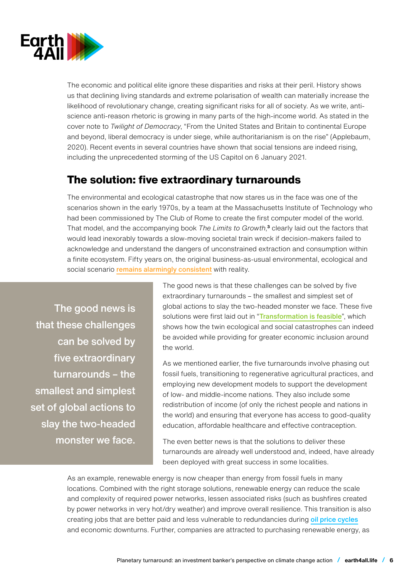

The economic and political elite ignore these disparities and risks at their peril. History shows us that declining living standards and extreme polarisation of wealth can materially increase the likelihood of revolutionary change, creating significant risks for all of society. As we write, antiscience anti-reason rhetoric is growing in many parts of the high-income world. As stated in the cover note to *Twilight of Democracy*, "From the United States and Britain to continental Europe and beyond, liberal democracy is under siege, while authoritarianism is on the rise" (Applebaum, 2020). Recent events in several countries have shown that social tensions are indeed rising, including the unprecedented storming of the US Capitol on 6 January 2021.

## **The solution: five extraordinary turnarounds**

The environmental and ecological catastrophe that now stares us in the face was one of the scenarios shown in the early 1970s, by a team at the Massachusetts Institute of Technology who had been commissioned by The Club of Rome to create the first computer model of the world. That model, and the accompanying book *The Limits to Growth*, **<sup>3</sup>** clearly laid out the factors that would lead inexorably towards a slow-moving societal train wreck if decision-makers failed to acknowledge and understand the dangers of unconstrained extraction and consumption within a finite ecosystem. Fifty years on, the original business-as-usual environmental, ecological and social scenario [remains alarmingly consistent](https://dash.harvard.edu/bitstream/handle/1/37364868/BRANDERHORST-DOCUMENT-2020.pdfv) with reality.

The good news is that these challenges can be solved by five extraordinary turnarounds – the smallest and simplest set of global actions to slay the two-headed monster we face. The good news is that these challenges can be solved by five extraordinary turnarounds – the smallest and simplest set of global actions to slay the two-headed monster we face. These five solutions were first laid out in "[Transformation is feasible](https://www.stockholmresilience.org/publications/publications/2018-10-17-transformation-is-feasible---how-to-achieve-the-sustainable--development-goals-within-planetary-boundaries.htmlv)", which shows how the twin ecological and social catastrophes can indeed be avoided while providing for greater economic inclusion around the world.

As we mentioned earlier, the five turnarounds involve phasing out fossil fuels, transitioning to regenerative agricultural practices, and employing new development models to support the development of low- and middle-income nations. They also include some redistribution of income (of only the richest people and nations in the world) and ensuring that everyone has access to good-quality education, affordable healthcare and effective contraception.

The even better news is that the solutions to deliver these turnarounds are already well understood and, indeed, have already been deployed with great success in some localities.

As an example, renewable energy is now cheaper than energy from fossil fuels in many locations. Combined with the right storage solutions, renewable energy can reduce the scale and complexity of required power networks, lessen associated risks (such as bushfires created by power networks in very hot/dry weather) and improve overall resilience. This transition is also creating jobs that are better paid and less vulnerable to redundancies during [oil price cycles](https://www.esgx.org/52-august-green-jobs-report.html) and economic downturns. Further, companies are attracted to purchasing renewable energy, as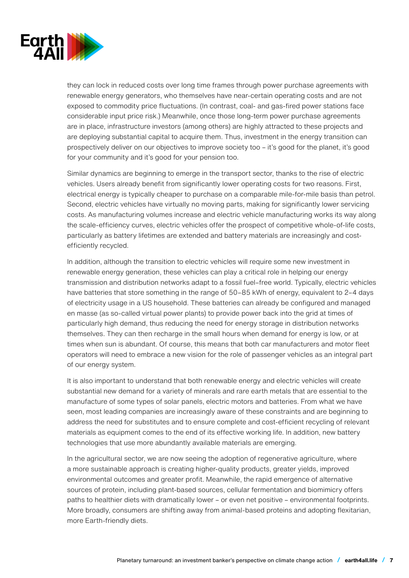

they can lock in reduced costs over long time frames through power purchase agreements with renewable energy generators, who themselves have near-certain operating costs and are not exposed to commodity price fluctuations. (In contrast, coal- and gas-fired power stations face considerable input price risk.) Meanwhile, once those long-term power purchase agreements are in place, infrastructure investors (among others) are highly attracted to these projects and are deploying substantial capital to acquire them. Thus, investment in the energy transition can prospectively deliver on our objectives to improve society too – it's good for the planet, it's good for your community and it's good for your pension too.

Similar dynamics are beginning to emerge in the transport sector, thanks to the rise of electric vehicles. Users already benefit from significantly lower operating costs for two reasons. First, electrical energy is typically cheaper to purchase on a comparable mile-for-mile basis than petrol. Second, electric vehicles have virtually no moving parts, making for significantly lower servicing costs. As manufacturing volumes increase and electric vehicle manufacturing works its way along the scale-efficiency curves, electric vehicles offer the prospect of competitive whole-of-life costs, particularly as battery lifetimes are extended and battery materials are increasingly and costefficiently recycled.

In addition, although the transition to electric vehicles will require some new investment in renewable energy generation, these vehicles can play a critical role in helping our energy transmission and distribution networks adapt to a fossil fuel–free world. Typically, electric vehicles have batteries that store something in the range of 50–85 kWh of energy, equivalent to 2–4 days of electricity usage in a US household. These batteries can already be configured and managed en masse (as so-called virtual power plants) to provide power back into the grid at times of particularly high demand, thus reducing the need for energy storage in distribution networks themselves. They can then recharge in the small hours when demand for energy is low, or at times when sun is abundant. Of course, this means that both car manufacturers and motor fleet operators will need to embrace a new vision for the role of passenger vehicles as an integral part of our energy system.

It is also important to understand that both renewable energy and electric vehicles will create substantial new demand for a variety of minerals and rare earth metals that are essential to the manufacture of some types of solar panels, electric motors and batteries. From what we have seen, most leading companies are increasingly aware of these constraints and are beginning to address the need for substitutes and to ensure complete and cost-efficient recycling of relevant materials as equipment comes to the end of its effective working life. In addition, new battery technologies that use more abundantly available materials are emerging.

In the agricultural sector, we are now seeing the adoption of regenerative agriculture, where a more sustainable approach is creating higher-quality products, greater yields, improved environmental outcomes and greater profit. Meanwhile, the rapid emergence of alternative sources of protein, including plant-based sources, cellular fermentation and biomimicry offers paths to healthier diets with dramatically lower – or even net positive – environmental footprints. More broadly, consumers are shifting away from animal-based proteins and adopting flexitarian, more Earth-friendly diets.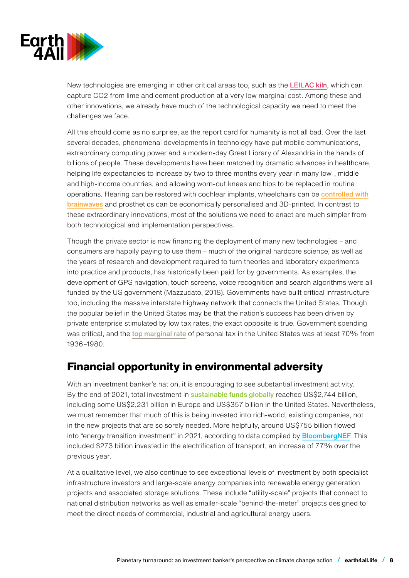

New technologies are emerging in other critical areas too, such as the **[LEILAC kiln](https://www.project-leilac.eu/)**, which can capture CO2 from lime and cement production at a very low marginal cost. Among these and other innovations, we already have much of the technological capacity we need to meet the challenges we face.

All this should come as no surprise, as the report card for humanity is not all bad. Over the last several decades, phenomenal developments in technology have put mobile communications, extraordinary computing power and a modern-day Great Library of Alexandria in the hands of billions of people. These developments have been matched by dramatic advances in healthcare, helping life expectancies to increase by two to three months every year in many low-, middleand high-income countries, and allowing worn-out knees and hips to be replaced in routine operations. Hearing can be restored with cochlear implants, wheelchairs can be [controlled with](https://www.researchgate.net/publication/323426510_Brainwave_Controlled_Wheelchair) [brainwaves](https://www.researchgate.net/publication/323426510_Brainwave_Controlled_Wheelchair) and prosthetics can be economically personalised and 3D-printed. In contrast to these extraordinary innovations, most of the solutions we need to enact are much simpler from both technological and implementation perspectives.

Though the private sector is now financing the deployment of many new technologies – and consumers are happily paying to use them – much of the original hardcore science, as well as the years of research and development required to turn theories and laboratory experiments into practice and products, has historically been paid for by governments. As examples, the development of GPS navigation, touch screens, voice recognition and search algorithms were all funded by the US government (Mazzucato, 2018). Governments have built critical infrastructure too, including the massive interstate highway network that connects the United States. Though the popular belief in the United States may be that the nation's success has been driven by private enterprise stimulated by low tax rates, the exact opposite is true. Government spending was critical, and the [top marginal rate](https://www.taxpolicycenter.org/statistics/historical-highest-marginal-income-tax-rates) of personal tax in the United States was at least 70% from 1936–1980.

# **Financial opportunity in environmental adversity**

With an investment banker's hat on, it is encouraging to see substantial investment activity. By the end of 2021, total investment in **[sustainable funds globally](https://www.morningstar.com/lp/global-esg-flows)** reached US\$2,744 billion, including some US\$2,231 billion in Europe and US\$357 billion in the United States. Nevertheless, we must remember that much of this is being invested into rich-world, existing companies, not in the new projects that are so sorely needed. More helpfully, around US\$755 billion flowed into "energy transition investment" in 2021, according to data compiled by **[BloombergNEF](https://about.bnef.com/blog/global-investment-in-low-carbon-energy-transition-hit-755-billion-in-2021/)**. This included \$273 billion invested in the electrification of transport, an increase of 77% over the previous year.

At a qualitative level, we also continue to see exceptional levels of investment by both specialist infrastructure investors and large-scale energy companies into renewable energy generation projects and associated storage solutions. These include "utility-scale" projects that connect to national distribution networks as well as smaller-scale "behind-the-meter" projects designed to meet the direct needs of commercial, industrial and agricultural energy users.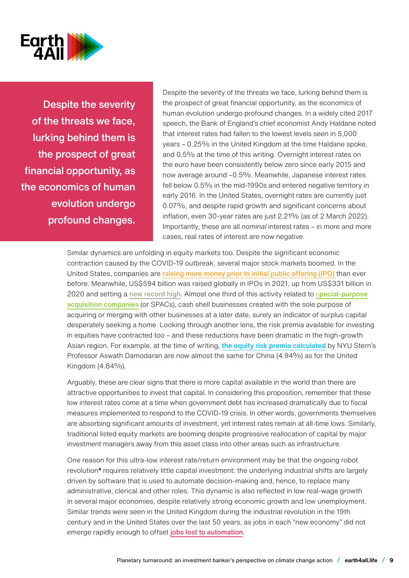

Despite the severity of the threats we face, lurking behind them is the prospect of great financial opportunity, as the economics of human evolution undergo profound changes. Despite the severity of the threats we face, lurking behind them is the prospect of great financial opportunity, as the economics of human evolution undergo profound changes. In a widely cited 2017 speech, the Bank of England's chief economist Andy Haldane noted that interest rates had fallen to the lowest levels seen in 5,000 years – 0.25% in the United Kingdom at the time Haldane spoke, and 0.5% at the time of this writing. Overnight interest rates on the euro have been consistently below zero since early 2015 and now average around –0.5%. Meanwhile, Japanese interest rates fell below 0.5% in the mid-1990s and entered negative territory in early 2016. In the United States, overnight rates are currently just 0.07%, and despite rapid growth and significant concerns about inflation, even 30-year rates are just 2.21% (as of 2 March 2022). Importantly, these are all *nominal* interest rates – in more and more cases, real rates of interest are now negative.

Similar dynamics are unfolding in equity markets too. Despite the significant economic contraction caused by the COVID-19 outbreak, several major stock markets boomed. In the United States, companies are [raising more money prior to initial public offering \(IPO\)](https://www.statista.com/statistics/914597/median-amount-raised-before-ipo/) than ever before. Meanwhile, US\$594 billion was raised globally in IPOs in 2021, up from US\$331 billion in 2020 and setting a [new record high](https://www.reuters.com/markets/europe/record-ipo-binge-2021-leaves-investors-hung-over-2021-12-24/). Almost one third of this activity related to s[pecial-purpose](https://insight.factset.com/u.s.-ipo-market-spacs-drive-2020-ipos-to-a-new-record) [acquisition companies](https://insight.factset.com/u.s.-ipo-market-spacs-drive-2020-ipos-to-a-new-record) (or SPACs), cash shell businesses created with the sole purpose of acquiring or merging with other businesses at a later date, surely an indicator of surplus capital desperately seeking a home. Looking through another lens, the risk premia available for investing in equities have contracted too – and these reductions have been dramatic in the high-growth Asian region. For example, at the time of writing, [the equity risk premia calculated](http://pages.stern.nyu.edu/~adamodar/New_Home_Page/datafile/ctryprem.html) by NYU Stern's Professor Aswath Damodaran are now almost the same for China (4.94%) as for the United Kingdom (4.84%).

Arguably, these are clear signs that there is more capital available in the world than there are attractive opportunities to invest that capital. In considering this proposition, remember that these low interest rates come at a time when government debt has increased dramatically due to fiscal measures implemented to respond to the COVID-19 crisis. In other words, governments themselves are absorbing significant amounts of investment, yet interest rates remain at all-time lows. Similarly, traditional listed equity markets are booming despite progressive reallocation of capital by major investment managers away from this asset class into other areas such as infrastructure.

One reason for this ultra-low interest rate/return environment may be that the ongoing robot revolution**<sup>4</sup>** requires relatively little capital investment: the underlying industrial shifts are largely driven by software that is used to automate decision-making and, hence, to replace many administrative, clerical and other roles. This dynamic is also reflected in low real-wage growth in several major economies, despite relatively strong economic growth and low unemployment. Similar trends were seen in the United Kingdom during the industrial revolution in the 19th century and in the United States over the last 50 years, as jobs in each "new economy" did not emerge rapidly enough to offset [jobs lost to automation](https://www.pottinger.com/foss.html).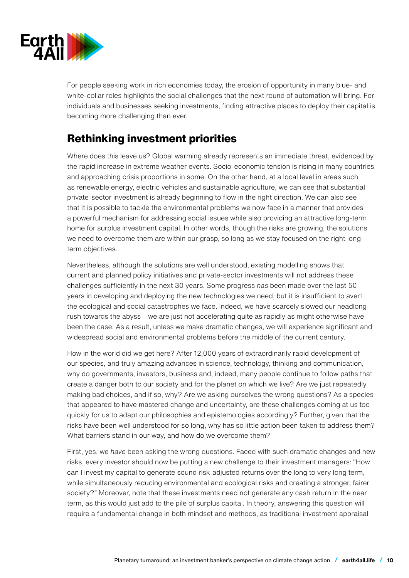

For people seeking work in rich economies today, the erosion of opportunity in many blue- and white-collar roles highlights the social challenges that the next round of automation will bring. For individuals and businesses seeking investments, finding attractive places to deploy their capital is becoming more challenging than ever.

# **Rethinking investment priorities**

Where does this leave us? Global warming already represents an immediate threat, evidenced by the rapid increase in extreme weather events. Socio-economic tension is rising in many countries and approaching crisis proportions in some. On the other hand, at a local level in areas such as renewable energy, electric vehicles and sustainable agriculture, we can see that substantial private-sector investment is already beginning to flow in the right direction. We can also see that it is possible to tackle the environmental problems we now face in a manner that provides a powerful mechanism for addressing social issues while also providing an attractive long-term home for surplus investment capital. In other words, though the risks are growing, the solutions we need to overcome them are within our grasp, so long as we stay focused on the right longterm objectives.

Nevertheless, although the solutions are well understood, existing modelling shows that current and planned policy initiatives and private-sector investments will not address these challenges sufficiently in the next 30 years. Some progress *has* been made over the last 50 years in developing and deploying the new technologies we need, but it is insufficient to avert the ecological and social catastrophes we face. Indeed, we have scarcely slowed our headlong rush towards the abyss – we are just not accelerating quite as rapidly as might otherwise have been the case. As a result, unless we make dramatic changes, we will experience significant and widespread social and environmental problems before the middle of the current century.

How in the world did we get here? After 12,000 years of extraordinarily rapid development of our species, and truly amazing advances in science, technology, thinking and communication, why do governments, investors, business and, indeed, many people continue to follow paths that create a danger both to our society and for the planet on which we live? Are we just repeatedly making bad choices, and if so, why? Are we asking ourselves the wrong questions? As a species that appeared to have mastered change and uncertainty, are these challenges coming at us too quickly for us to adapt our philosophies and epistemologies accordingly? Further, given that the risks have been well understood for so long, why has so little action been taken to address them? What barriers stand in our way, and how do we overcome them?

First, yes, we *have* been asking the wrong questions. Faced with such dramatic changes and new risks, every investor should now be putting a new challenge to their investment managers: "How can I invest my capital to generate sound risk-adjusted returns over the long to very long term, while simultaneously reducing environmental and ecological risks and creating a stronger, fairer society?" Moreover, note that these investments need not generate any cash return in the near term, as this would just add to the pile of surplus capital. In theory, answering this question will require a fundamental change in both mindset and methods, as traditional investment appraisal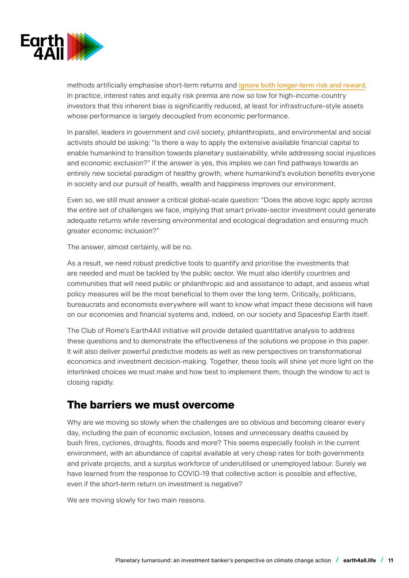

methods artificially emphasise short-term returns and [ignore both longer-term risk and reward](https://www.nigellake.com/uploads/1/9/5/1/19512909/ending_accidental_time_bias.pdfv). In practice, interest rates and equity risk premia are now so low for high-income-country investors that this inherent bias is significantly reduced, at least for infrastructure-style assets whose performance is largely decoupled from economic performance.

In parallel, leaders in government and civil society, philanthropists, and environmental and social activists should be asking: "Is there a way to apply the extensive available financial capital to enable humankind to transition towards planetary sustainability, while addressing social injustices and economic exclusion?" If the answer is yes, this implies we can find pathways towards an entirely new societal paradigm of healthy growth, where humankind's evolution benefits everyone in society and our pursuit of health, wealth and happiness improves our environment.

Even so, we still must answer a critical global-scale question: "Does the above logic apply across the entire set of challenges we face, implying that smart private-sector investment could generate adequate returns while reversing environmental and ecological degradation and ensuring much greater economic inclusion?"

The answer, almost certainly, will be no.

As a result, we need robust predictive tools to quantify and prioritise the investments that are needed and must be tackled by the public sector. We must also identify countries and communities that will need public or philanthropic aid and assistance to adapt, and assess what policy measures will be the most beneficial to them over the long term. Critically, politicians, bureaucrats and economists everywhere will want to know what impact these decisions will have on our economies and financial systems and, indeed, on our society and Spaceship Earth itself.

The Club of Rome's Earth4All initiative will provide detailed quantitative analysis to address these questions and to demonstrate the effectiveness of the solutions we propose in this paper. It will also deliver powerful predictive models as well as new perspectives on transformational economics and investment decision-making. Together, these tools will shine yet more light on the interlinked choices we must make and how best to implement them, though the window to act is closing rapidly.

### **The barriers we must overcome**

Why are we moving so slowly when the challenges are so obvious and becoming clearer every day, including the pain of economic exclusion, losses and unnecessary deaths caused by bush fires, cyclones, droughts, floods and more? This seems especially foolish in the current environment, with an abundance of capital available at very cheap rates for both governments and private projects, and a surplus workforce of underutilised or unemployed labour. Surely we have learned from the response to COVID-19 that collective action is possible and effective, even if the short-term return on investment is negative?

We are moving slowly for two main reasons.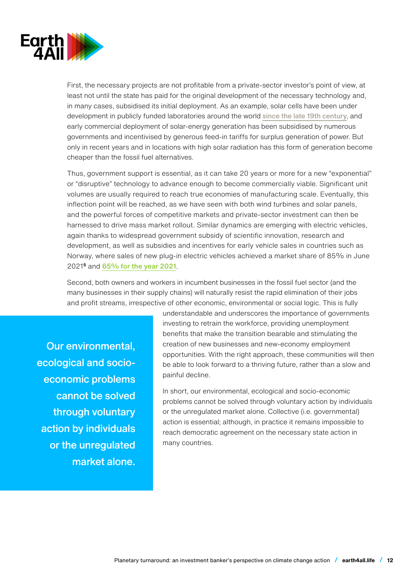

First, the necessary projects are not profitable from a private-sector investor's point of view, at least not until the state has paid for the original development of the necessary technology and, in many cases, subsidised its initial deployment. As an example, solar cells have been under development in publicly funded laboratories around the world [since the late 19th century](https://www.aps.org/publications/apsnews/200904/physicshistory.cfm), and early commercial deployment of solar-energy generation has been subsidised by numerous governments and incentivised by generous feed-in tariffs for surplus generation of power. But only in recent years and in locations with high solar radiation has this form of generation become cheaper than the fossil fuel alternatives.

Thus, government support is essential, as it can take 20 years or more for a new "exponential" or "disruptive" technology to advance enough to become commercially viable. Significant unit volumes are usually required to reach true economies of manufacturing scale. Eventually, this inflection point will be reached, as we have seen with both wind turbines and solar panels, and the powerful forces of competitive markets and private-sector investment can then be harnessed to drive mass market rollout. Similar dynamics are emerging with electric vehicles, again thanks to widespread government subsidy of scientific innovation, research and development, as well as subsidies and incentives for early vehicle sales in countries such as Norway, where sales of new plug-in electric vehicles achieved a market share of 85% in June 2021**<sup>5</sup>** and [65% for the year 2021](https://www.reuters.com/business/autos-transportation/electric-cars-take-two-thirds-norway-car-market-led-by-tesla-2022-01-03/https://www.reuters.com/business/autos-transportation/electric-cars-take-two-thirds-norway-car-market-led-by-tesla-2022-01-03/).

Second, both owners and workers in incumbent businesses in the fossil fuel sector (and the many businesses in their supply chains) will naturally resist the rapid elimination of their jobs and profit streams, irrespective of other economic, environmental or social logic. This is fully

Our environmental, ecological and socioeconomic problems cannot be solved through voluntary action by individuals or the unregulated market alone. understandable and underscores the importance of governments investing to retrain the workforce, providing unemployment benefits that make the transition bearable and stimulating the creation of new businesses and new-economy employment opportunities. With the right approach, these communities will then be able to look forward to a thriving future, rather than a slow and painful decline.

In short, our environmental, ecological and socio-economic problems cannot be solved through voluntary action by individuals or the unregulated market alone. Collective (i.e. governmental) action is essential; although, in practice it remains impossible to reach democratic agreement on the necessary state action in many countries.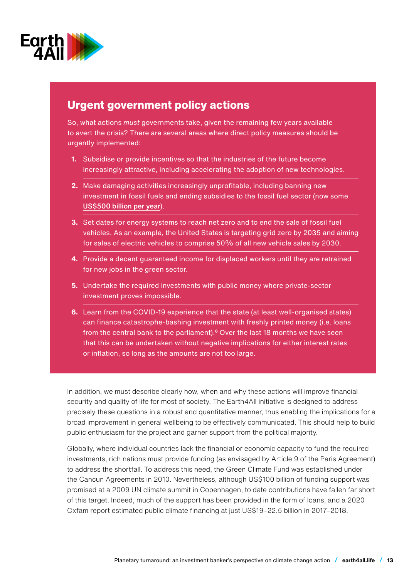

# **Urgent government policy actions**

So, what actions *must* governments take, given the remaining few years available to avert the crisis? There are several areas where direct policy measures should be urgently implemented:

- **1.** Subsidise or provide incentives so that the industries of the future become increasingly attractive, including accelerating the adoption of new technologies.
- **2.** Make damaging activities increasingly unprofitable, including banning new investment in fossil fuels and ending subsidies to the fossil fuel sector (now some [US\\$500 billion per year](https://www.brookings.edu/research/reforming-global-fossil-fuel-subsidies-how-the-united-states-can-restart-international-cooperation/)).
- **3.** Set dates for energy systems to reach net zero and to end the sale of fossil fuel vehicles. As an example, the United States is targeting grid zero by 2035 and aiming for sales of electric vehicles to comprise 50% of all new vehicle sales by 2030.
- **4.** Provide a decent guaranteed income for displaced workers until they are retrained for new jobs in the green sector.
- **5.** Undertake the required investments with public money where private-sector investment proves impossible.
- **6.** Learn from the COVID-19 experience that the state (at least well-organised states) can finance catastrophe-bashing investment with freshly printed money (i.e. loans from the central bank to the parliament).**<sup>6</sup>** Over the last 18 months we have seen that this can be undertaken without negative implications for either interest rates or inflation, so long as the amounts are not too large.

In addition, we must describe clearly how, when and why these actions will improve financial security and quality of life for most of society. The Earth4All initiative is designed to address precisely these questions in a robust and quantitative manner, thus enabling the implications for a broad improvement in general wellbeing to be effectively communicated. This should help to build public enthusiasm for the project and garner support from the political majority.

Globally, where individual countries lack the financial or economic capacity to fund the required investments, rich nations must provide funding (as envisaged by Article 9 of the Paris Agreement) to address the shortfall. To address this need, the Green Climate Fund was established under the Cancun Agreements in 2010. Nevertheless, although US\$100 billion of funding support was promised at a 2009 UN climate summit in Copenhagen, to date contributions have fallen far short of this target. Indeed, much of the support has been provided in the form of loans, and a 2020 Oxfam report estimated public climate financing at just US\$19–22.5 billion in 2017–2018.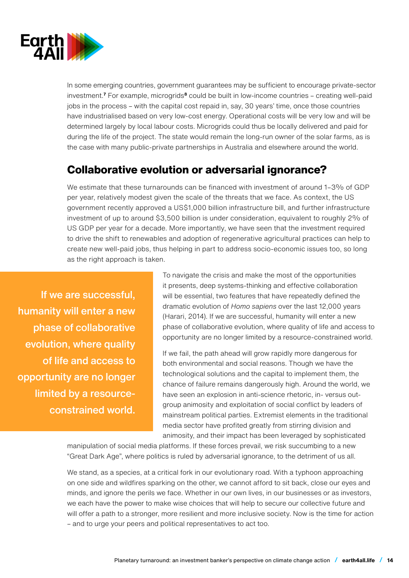

In some emerging countries, government guarantees may be sufficient to encourage private-sector investment.**<sup>7</sup>** For example, microgrids**<sup>8</sup>** could be built in low-income countries – creating well-paid jobs in the process – with the capital cost repaid in, say, 30 years' time, once those countries have industrialised based on very low-cost energy. Operational costs will be very low and will be determined largely by local labour costs. Microgrids could thus be locally delivered and paid for during the life of the project. The state would remain the long-run owner of the solar farms, as is the case with many public-private partnerships in Australia and elsewhere around the world.

# **Collaborative evolution or adversarial ignorance?**

We estimate that these turnarounds can be financed with investment of around 1–3% of GDP per year, relatively modest given the scale of the threats that we face. As context, the US government recently approved a US\$1,000 billion infrastructure bill, and further infrastructure investment of up to around \$3,500 billion is under consideration, equivalent to roughly 2% of US GDP per year for a decade. More importantly, we have seen that the investment required to drive the shift to renewables and adoption of regenerative agricultural practices can help to create new well-paid jobs, thus helping in part to address socio-economic issues too, so long as the right approach is taken.

 If we are successful, humanity will enter a new phase of collaborative evolution, where quality of life and access to opportunity are no longer limited by a resourceconstrained world.

To navigate the crisis and make the most of the opportunities it presents, deep systems-thinking and effective collaboration will be essential, two features that have repeatedly defined the dramatic evolution of *Homo sapiens* over the last 12,000 years (Harari, 2014). If we are successful, humanity will enter a new phase of collaborative evolution, where quality of life and access to opportunity are no longer limited by a resource-constrained world.

If we fail, the path ahead will grow rapidly more dangerous for both environmental and social reasons. Though we have the technological solutions and the capital to implement them, the chance of failure remains dangerously high. Around the world, we have seen an explosion in anti-science rhetoric, in- versus outgroup animosity and exploitation of social conflict by leaders of mainstream political parties. Extremist elements in the traditional media sector have profited greatly from stirring division and animosity, and their impact has been leveraged by sophisticated

manipulation of social media platforms. If these forces prevail, we risk succumbing to a new "Great Dark Age", where politics is ruled by adversarial ignorance, to the detriment of us all.

We stand, as a species, at a critical fork in our evolutionary road. With a typhoon approaching on one side and wildfires sparking on the other, we cannot afford to sit back, close our eyes and minds, and ignore the perils we face. Whether in our own lives, in our businesses or as investors, we each have the power to make wise choices that will help to secure our collective future and will offer a path to a stronger, more resilient and more inclusive society. Now is the time for action – and to urge your peers and political representatives to act too.